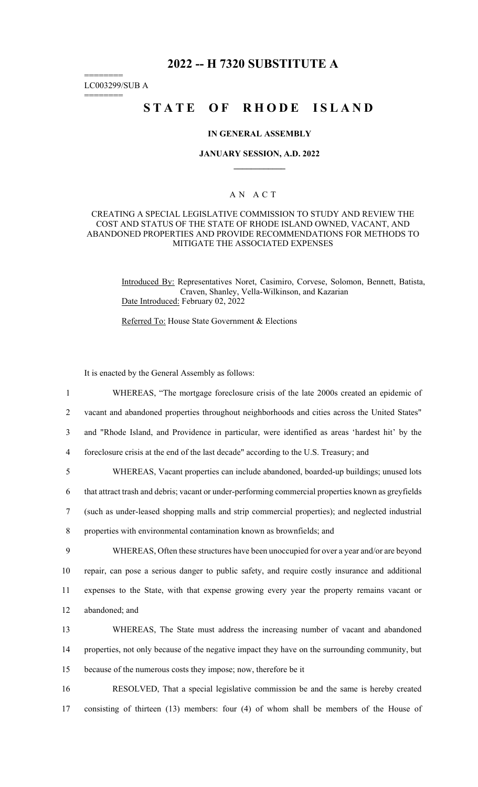## **2022 -- H 7320 SUBSTITUTE A**

LC003299/SUB A

========

========

# **STATE OF RHODE ISLAND**

#### **IN GENERAL ASSEMBLY**

#### **JANUARY SESSION, A.D. 2022 \_\_\_\_\_\_\_\_\_\_\_\_**

#### A N A C T

#### CREATING A SPECIAL LEGISLATIVE COMMISSION TO STUDY AND REVIEW THE COST AND STATUS OF THE STATE OF RHODE ISLAND OWNED, VACANT, AND ABANDONED PROPERTIES AND PROVIDE RECOMMENDATIONS FOR METHODS TO MITIGATE THE ASSOCIATED EXPENSES

Introduced By: Representatives Noret, Casimiro, Corvese, Solomon, Bennett, Batista, Craven, Shanley, Vella-Wilkinson, and Kazarian Date Introduced: February 02, 2022

Referred To: House State Government & Elections

It is enacted by the General Assembly as follows:

1 WHEREAS, "The mortgage foreclosure crisis of the late 2000s created an epidemic of 2 vacant and abandoned properties throughout neighborhoods and cities across the United States" 3 and "Rhode Island, and Providence in particular, were identified as areas 'hardest hit' by the 4 foreclosure crisis at the end of the last decade" according to the U.S. Treasury; and 5 WHEREAS, Vacant properties can include abandoned, boarded-up buildings; unused lots 6 that attract trash and debris; vacant or under-performing commercial properties known as greyfields 7 (such as under-leased shopping malls and strip commercial properties); and neglected industrial 8 properties with environmental contamination known as brownfields; and 9 WHEREAS, Often these structures have been unoccupied for over a year and/or are beyond 10 repair, can pose a serious danger to public safety, and require costly insurance and additional 11 expenses to the State, with that expense growing every year the property remains vacant or 12 abandoned; and 13 WHEREAS, The State must address the increasing number of vacant and abandoned 14 properties, not only because of the negative impact they have on the surrounding community, but 15 because of the numerous costs they impose; now, therefore be it

16 RESOLVED, That a special legislative commission be and the same is hereby created 17 consisting of thirteen (13) members: four (4) of whom shall be members of the House of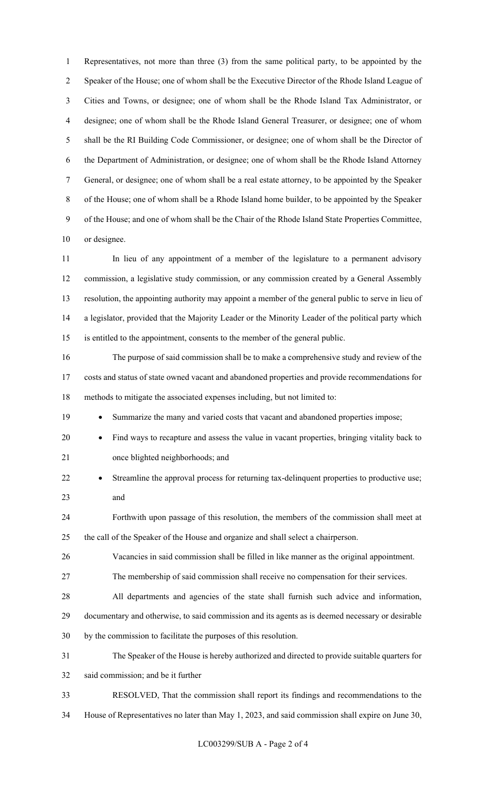1 Representatives, not more than three (3) from the same political party, to be appointed by the 2 Speaker of the House; one of whom shall be the Executive Director of the Rhode Island League of 3 Cities and Towns, or designee; one of whom shall be the Rhode Island Tax Administrator, or 4 designee; one of whom shall be the Rhode Island General Treasurer, or designee; one of whom 5 shall be the RI Building Code Commissioner, or designee; one of whom shall be the Director of 6 the Department of Administration, or designee; one of whom shall be the Rhode Island Attorney 7 General, or designee; one of whom shall be a real estate attorney, to be appointed by the Speaker 8 of the House; one of whom shall be a Rhode Island home builder, to be appointed by the Speaker 9 of the House; and one of whom shall be the Chair of the Rhode Island State Properties Committee, 10 or designee.

11 In lieu of any appointment of a member of the legislature to a permanent advisory 12 commission, a legislative study commission, or any commission created by a General Assembly 13 resolution, the appointing authority may appoint a member of the general public to serve in lieu of 14 a legislator, provided that the Majority Leader or the Minority Leader of the political party which 15 is entitled to the appointment, consents to the member of the general public.

16 The purpose of said commission shall be to make a comprehensive study and review of the 17 costs and status of state owned vacant and abandoned properties and provide recommendations for 18 methods to mitigate the associated expenses including, but not limited to:

19 • Summarize the many and varied costs that vacant and abandoned properties impose;

- 20 Find ways to recapture and assess the value in vacant properties, bringing vitality back to 21 once blighted neighborhoods; and
- 22 Streamline the approval process for returning tax-delinquent properties to productive use; 23 and

24 Forthwith upon passage of this resolution, the members of the commission shall meet at 25 the call of the Speaker of the House and organize and shall select a chairperson.

26 Vacancies in said commission shall be filled in like manner as the original appointment.

27 The membership of said commission shall receive no compensation for their services.

28 All departments and agencies of the state shall furnish such advice and information,

- 29 documentary and otherwise, to said commission and its agents as is deemed necessary or desirable
- 30 by the commission to facilitate the purposes of this resolution.

31 The Speaker of the House is hereby authorized and directed to provide suitable quarters for 32 said commission; and be it further

- 33 RESOLVED, That the commission shall report its findings and recommendations to the
- 34 House of Representatives no later than May 1, 2023, and said commission shall expire on June 30,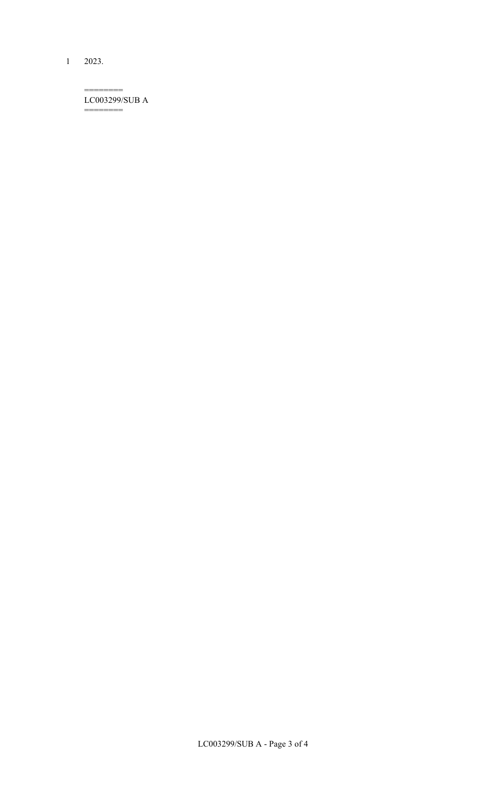1 2023.

======== LC003299/SUB A ========